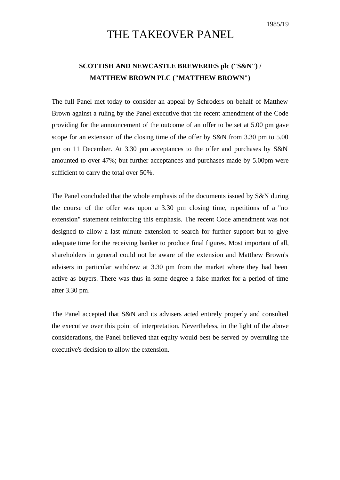1985/19

## THE TAKEOVER PANEL

## **SCOTTISH AND NEWCASTLE BREWERIES plc ("S&N") / MATTHEW BROWN PLC ("MATTHEW BROWN")**

The full Panel met today to consider an appeal by Schroders on behalf of Matthew Brown against a ruling by the Panel executive that the recent amendment of the Code providing for the announcement of the outcome of an offer to be set at 5.00 pm gave scope for an extension of the closing time of the offer by S&N from 3.30 pm to 5.00 pm on 11 December. At 3.30 pm acceptances to the offer and purchases by S&N amounted to over 47%; but further acceptances and purchases made by 5.00pm were sufficient to carry the total over 50%.

The Panel concluded that the whole emphasis of the documents issued by S&N during the course of the offer was upon a 3.30 pm closing time, repetitions of a "no extension" statement reinforcing this emphasis. The recent Code amendment was not designed to allow a last minute extension to search for further support but to give adequate time for the receiving banker to produce final figures. Most important of all, shareholders in general could not be aware of the extension and Matthew Brown's advisers in particular withdrew at 3.30 pm from the market where they had been active as buyers. There was thus in some degree a false market for a period of time after 3.30 pm.

The Panel accepted that S&N and its advisers acted entirely properly and consulted the executive over this point of interpretation. Nevertheless, in the light of the above considerations, the Panel believed that equity would best be served by overruling the executive's decision to allow the extension.